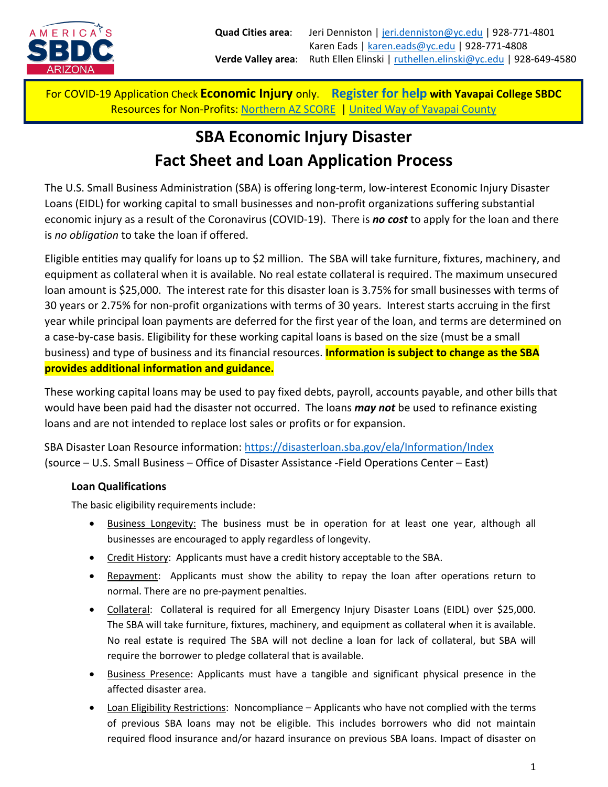

# **SBA Economic Injury Disaster Fact Sheet and Loan Application Process**

The U.S. Small Business Administration (SBA) is offering long-term, low-interest Economic Injury Disaster Loans (EIDL) for working capital to small businesses and non-profit organizations suffering substantial economic injury as a result of the Coronavirus (COVID-19). There is *no cost* to apply for the loan and there is *no obligation* to take the loan if offered.

Eligible entities may qualify for loans up to \$2 million. The SBA will take furniture, fixtures, machinery, and equipment as collateral when it is available. No real estate collateral is required. The maximum unsecured loan amount is \$25,000. The interest rate for this disaster loan is 3.75% for small businesses with terms of 30 years or 2.75% for non-profit organizations with terms of 30 years. Interest starts accruing in the first year while principal loan payments are deferred for the first year of the loan, and terms are determined on a case-by-case basis. Eligibility for these working capital loans is based on the size (must be a small business) and type of business and its financial resources. **Information is subject to change as the SBA provides additional information and guidance.**

These working capital loans may be used to pay fixed debts, payroll, accounts payable, and other bills that would have been paid had the disaster not occurred. The loans *may not* be used to refinance existing loans and are not intended to replace lost sales or profits or for expansion.

SBA Disaster Loan Resource information:<https://disasterloan.sba.gov/ela/Information/Index> (source – U.S. Small Business – Office of Disaster Assistance -Field Operations Center – East)

#### **Loan Qualifications**

The basic eligibility requirements include:

- Business Longevity: The business must be in operation for at least one year, although all businesses are encouraged to apply regardless of longevity.
- Credit History: Applicants must have a credit history acceptable to the SBA.
- Repayment: Applicants must show the ability to repay the loan after operations return to normal. There are no pre-payment penalties.
- Collateral: Collateral is required for all Emergency Injury Disaster Loans (EIDL) over \$25,000. The SBA will take furniture, fixtures, machinery, and equipment as collateral when it is available. No real estate is required The SBA will not decline a loan for lack of collateral, but SBA will require the borrower to pledge collateral that is available.
- Business Presence: Applicants must have a tangible and significant physical presence in the affected disaster area.
- Loan Eligibility Restrictions: Noncompliance Applicants who have not complied with the terms of previous SBA loans may not be eligible. This includes borrowers who did not maintain required flood insurance and/or hazard insurance on previous SBA loans. Impact of disaster on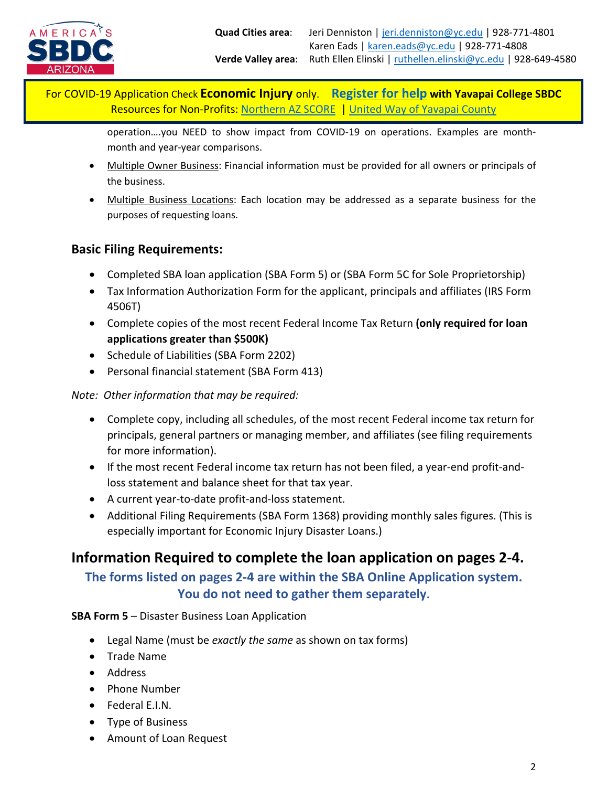

> operation….you NEED to show impact from COVID-19 on operations. Examples are monthmonth and year-year comparisons.

- Multiple Owner Business: Financial information must be provided for all owners or principals of the business.
- Multiple Business Locations: Each location may be addressed as a separate business for the purposes of requesting loans.

### **Basic Filing Requirements:**

- Completed SBA loan application (SBA Form 5) or (SBA Form 5C for Sole Proprietorship)
- Tax Information Authorization Form for the applicant, principals and affiliates (IRS Form 4506T)
- Complete copies of the most recent Federal Income Tax Return **(only required for loan applications greater than \$500K)**
- Schedule of Liabilities (SBA Form 2202)
- Personal financial statement (SBA Form 413)

#### *Note: Other information that may be required:*

- Complete copy, including all schedules, of the most recent Federal income tax return for principals, general partners or managing member, and affiliates (see filing requirements for more information).
- If the most recent Federal income tax return has not been filed, a year-end profit-andloss statement and balance sheet for that tax year.
- A current year-to-date profit-and-loss statement.
- Additional Filing Requirements (SBA Form 1368) providing monthly sales figures. (This is especially important for Economic Injury Disaster Loans.)

# **Information Required to complete the loan application on pages 2-4.**

## **The forms listed on pages 2-4 are within the SBA Online Application system. You do not need to gather them separately.**

#### **SBA Form 5** – Disaster Business Loan Application

- Legal Name (must be *exactly the same* as shown on tax forms)
- Trade Name
- Address
- Phone Number
- Federal E.I.N.
- Type of Business
- Amount of Loan Request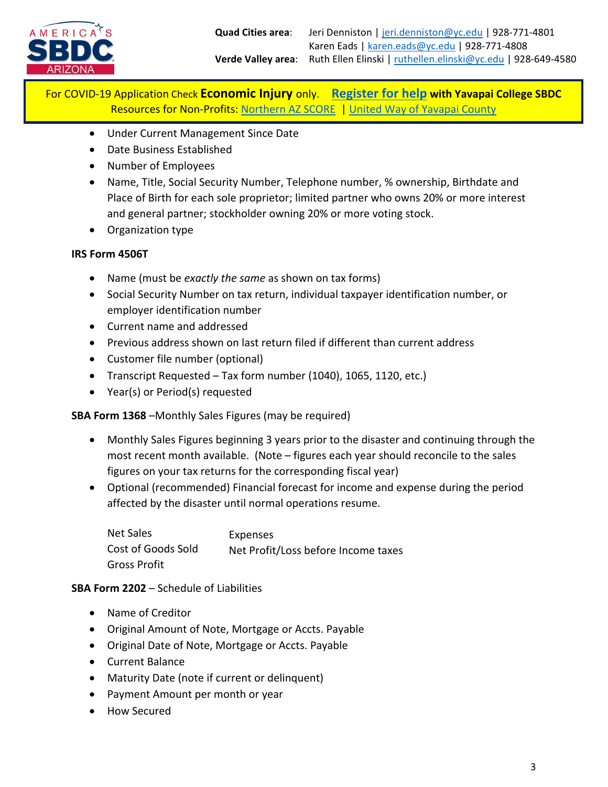

- Under Current Management Since Date
- Date Business Established
- Number of Employees
- Name, Title, Social Security Number, Telephone number, % ownership, Birthdate and Place of Birth for each sole proprietor; limited partner who owns 20% or more interest and general partner; stockholder owning 20% or more voting stock.
- Organization type

#### **IRS Form 4506T**

- Name (must be *exactly the same* as shown on tax forms)
- Social Security Number on tax return, individual taxpayer identification number, or employer identification number
- Current name and addressed
- Previous address shown on last return filed if different than current address
- Customer file number (optional)
- Transcript Requested Tax form number (1040), 1065, 1120, etc.)
- Year(s) or Period(s) requested

**SBA Form 1368** –Monthly Sales Figures (may be required)

- Monthly Sales Figures beginning 3 years prior to the disaster and continuing through the most recent month available. (Note – figures each year should reconcile to the sales figures on your tax returns for the corresponding fiscal year)
- Optional (recommended) Financial forecast for income and expense during the period affected by the disaster until normal operations resume.

| <b>Net Sales</b>   | Expenses                            |
|--------------------|-------------------------------------|
| Cost of Goods Sold | Net Profit/Loss before Income taxes |
| Gross Profit       |                                     |

#### **SBA Form 2202** – Schedule of Liabilities

- Name of Creditor
- Original Amount of Note, Mortgage or Accts. Payable
- Original Date of Note, Mortgage or Accts. Payable
- Current Balance
- Maturity Date (note if current or delinquent)
- Payment Amount per month or year
- How Secured